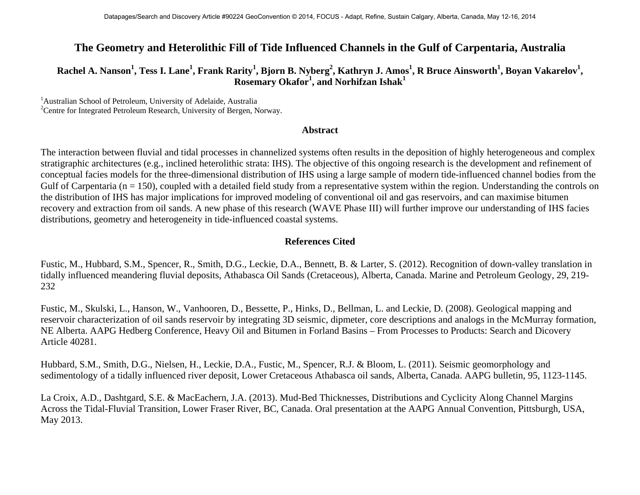## **The Geometry and Heterolithic Fill of Tide Influenced Channels in the Gulf of Carpentaria, Australia**

## $R$ achel A. Nanson $^1$ , Tess I. Lane $^1$ , Frank Rarity $^1$ , Bjorn B. Nyberg $^2$ , Kathryn J. Amos $^1$ , R Bruce Ainsworth $^1$ , Boyan Vakarelov $^1$ , **Rosemary Okafor<sup>1</sup> , and Norhifzan Ishak<sup>1</sup>**

<sup>1</sup> Australian School of Petroleum, University of Adelaide, Australia <sup>2</sup> Centre for Integrated Petroleum Research, University of Bergen, Norway.

## **Abstract**

The interaction between fluvial and tidal processes in channelized systems often results in the deposition of highly heterogeneous and complex stratigraphic architectures (e.g., inclined heterolithic strata: IHS). The objective of this ongoing research is the development and refinement of conceptual facies models for the three-dimensional distribution of IHS using a large sample of modern tide-influenced channel bodies from the Gulf of Carpentaria ( $n = 150$ ), coupled with a detailed field study from a representative system within the region. Understanding the controls on the distribution of IHS has major implications for improved modeling of conventional oil and gas reservoirs, and can maximise bitumen recovery and extraction from oil sands. A new phase of this research (WAVE Phase III) will further improve our understanding of IHS facies distributions, geometry and heterogeneity in tide-influenced coastal systems.

## **References Cited**

Fustic, M., Hubbard, S.M., Spencer, R., Smith, D.G., Leckie, D.A., Bennett, B. & Larter, S. (2012). Recognition of down-valley translation in tidally influenced meandering fluvial deposits, Athabasca Oil Sands (Cretaceous), Alberta, Canada. Marine and Petroleum Geology, 29, 219- 232

Fustic, M., Skulski, L., Hanson, W., Vanhooren, D., Bessette, P., Hinks, D., Bellman, L. and Leckie, D. (2008). Geological mapping and reservoir characterization of oil sands reservoir by integrating 3D seismic, dipmeter, core descriptions and analogs in the McMurray formation, NE Alberta. AAPG Hedberg Conference, Heavy Oil and Bitumen in Forland Basins – From Processes to Products: Search and Dicovery Article 40281.

Hubbard, S.M., Smith, D.G., Nielsen, H., Leckie, D.A., Fustic, M., Spencer, R.J. & Bloom, L. (2011). Seismic geomorphology and sedimentology of a tidally influenced river deposit, Lower Cretaceous Athabasca oil sands, Alberta, Canada. AAPG bulletin, 95, 1123-1145.

La Croix, A.D., Dashtgard, S.E. & MacEachern, J.A. (2013). Mud-Bed Thicknesses, Distributions and Cyclicity Along Channel Margins Across the Tidal-Fluvial Transition, Lower Fraser River, BC, Canada. Oral presentation at the AAPG Annual Convention, Pittsburgh, USA, May 2013.